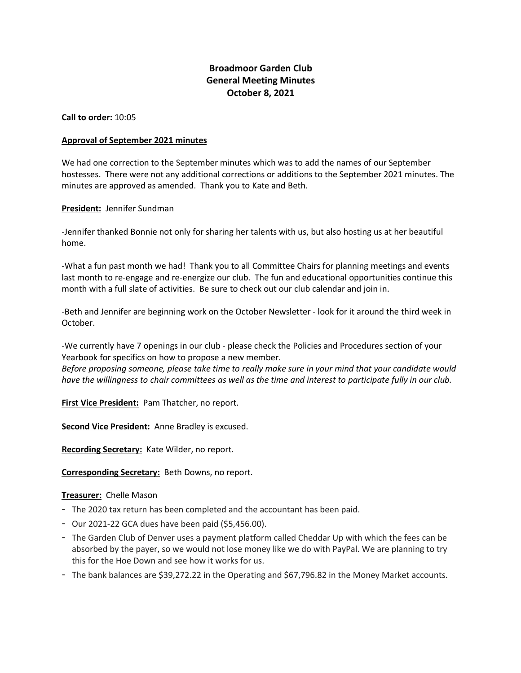# **Broadmoor Garden Club General Meeting Minutes October 8, 2021**

**Call to order:** 10:05

### **Approval of September 2021 minutes**

We had one correction to the September minutes which was to add the names of our September hostesses. There were not any additional corrections or additions to the September 2021 minutes. The minutes are approved as amended. Thank you to Kate and Beth.

# **President:** Jennifer Sundman

-Jennifer thanked Bonnie not only for sharing her talents with us, but also hosting us at her beautiful home.

-What a fun past month we had! Thank you to all Committee Chairs for planning meetings and events last month to re-engage and re-energize our club. The fun and educational opportunities continue this month with a full slate of activities. Be sure to check out our club calendar and join in.

-Beth and Jennifer are beginning work on the October Newsletter - look for it around the third week in October.

-We currently have 7 openings in our club - please check the Policies and Procedures section of your Yearbook for specifics on how to propose a new member.

*Before proposing someone, please take time to really make sure in your mind that your candidate would* have the willingness to chair committees as well as the time and interest to participate fully in our club.

**First Vice President:** Pam Thatcher, no report.

**Second Vice President:** Anne Bradley is excused.

**Recording Secretary:** Kate Wilder, no report.

**Corresponding Secretary:** Beth Downs, no report.

#### **Treasurer:** Chelle Mason

- The 2020 tax return has been completed and the accountant has been paid.
- Our 2021-22 GCA dues have been paid (\$5,456.00).
- The Garden Club of Denver uses a payment platform called Cheddar Up with which the fees can be absorbed by the payer, so we would not lose money like we do with PayPal. We are planning to try this for the Hoe Down and see how it works for us.
- The bank balances are \$39,272.22 in the Operating and \$67,796.82 in the Money Market accounts.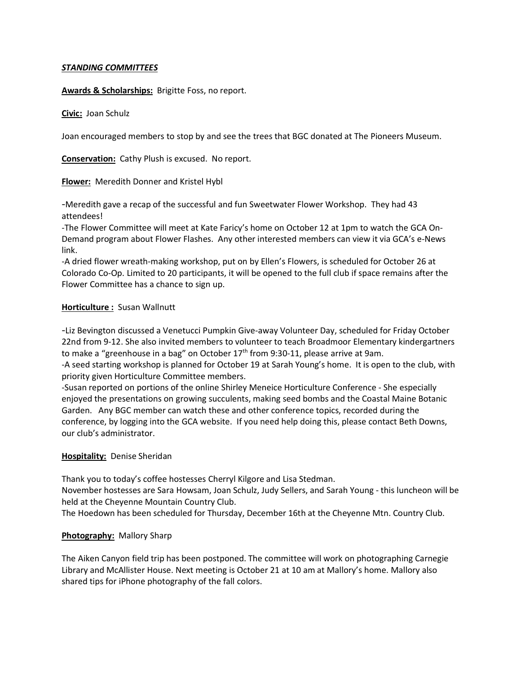# *STANDING COMMITTEES*

# **Awards & Scholarships:** Brigitte Foss, no report.

# **Civic:** Joan Schulz

Joan encouraged members to stop by and see the trees that BGC donated at The Pioneers Museum.

**Conservation:** Cathy Plush is excused. No report.

**Flower:** Meredith Donner and Kristel Hybl

-Meredith gave a recap of the successful and fun Sweetwater Flower Workshop. They had 43 attendees!

-The Flower Committee will meet at Kate Faricy's home on October 12 at 1pm to watch the GCA On-Demand program about Flower Flashes. Any other interested members can view it via GCA's e-News link.

-A dried flower wreath-making workshop, put on by Ellen's Flowers, is scheduled for October 26 at Colorado Co-Op. Limited to 20 participants, it will be opened to the full club if space remains after the Flower Committee has a chance to sign up.

### **Horticulture :** Susan Wallnutt

-Liz Bevington discussed a Venetucci Pumpkin Give-away Volunteer Day, scheduled for Friday October 22nd from 9-12. She also invited members to volunteer to teach Broadmoor Elementary kindergartners to make a "greenhouse in a bag" on October  $17<sup>th</sup>$  from 9:30-11, please arrive at 9am.

-A seed starting workshop is planned for October 19 at Sarah Young's home. It is open to the club, with priority given Horticulture Committee members.

-Susan reported on portions of the online Shirley Meneice Horticulture Conference - She especially enjoyed the presentations on growing succulents, making seed bombs and the Coastal Maine Botanic Garden. Any BGC member can watch these and other conference topics, recorded during the conference, by logging into the GCA website. If you need help doing this, please contact Beth Downs, our club's administrator.

#### **Hospitality:** Denise Sheridan

Thank you to today's coffee hostesses Cherryl Kilgore and Lisa Stedman.

November hostesses are Sara Howsam, Joan Schulz, Judy Sellers, and Sarah Young - this luncheon will be held at the Cheyenne Mountain Country Club.

The Hoedown has been scheduled for Thursday, December 16th at the Cheyenne Mtn. Country Club.

# **Photography:** Mallory Sharp

The Aiken Canyon field trip has been postponed. The committee will work on photographing Carnegie Library and McAllister House. Next meeting is October 21 at 10 am at Mallory's home. Mallory also shared tips for iPhone photography of the fall colors.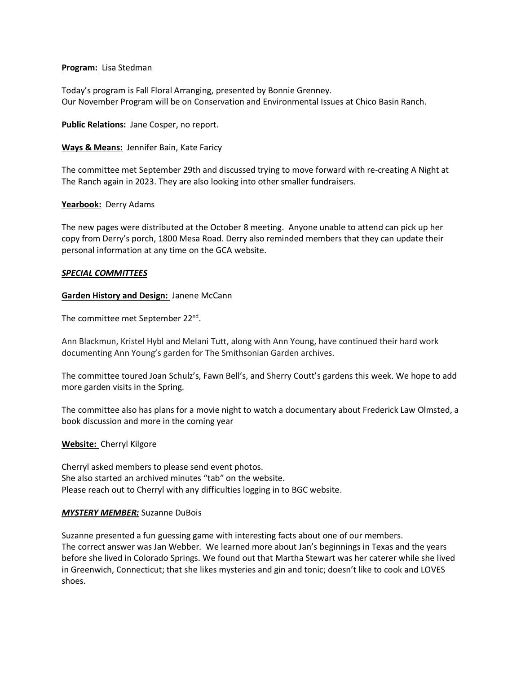### **Program:** Lisa Stedman

Today's program is Fall Floral Arranging, presented by Bonnie Grenney. Our November Program will be on Conservation and Environmental Issues at Chico Basin Ranch.

**Public Relations:** Jane Cosper, no report.

**Ways & Means:** Jennifer Bain, Kate Faricy

The committee met September 29th and discussed trying to move forward with re-creating A Night at The Ranch again in 2023. They are also looking into other smaller fundraisers.

#### **Yearbook:** Derry Adams

The new pages were distributed at the October 8 meeting. Anyone unable to attend can pick up her copy from Derry's porch, 1800 Mesa Road. Derry also reminded members that they can update their personal information at any time on the GCA website.

### *SPECIAL COMMITTEES*

### **Garden History and Design:** Janene McCann

The committee met September 22nd.

Ann Blackmun, Kristel Hybl and Melani Tutt, along with Ann Young, have continued their hard work documenting Ann Young's garden for The Smithsonian Garden archives.

The committee toured Joan Schulz's, Fawn Bell's, and Sherry Coutt's gardens this week. We hope to add more garden visits in the Spring.

The committee also has plans for a movie night to watch a documentary about Frederick Law Olmsted, a book discussion and more in the coming year

#### **Website:** Cherryl Kilgore

Cherryl asked members to please send event photos. She also started an archived minutes "tab" on the website. Please reach out to Cherryl with any difficulties logging in to BGC website.

#### *MYSTERY MEMBER:* Suzanne DuBois

Suzanne presented a fun guessing game with interesting facts about one of our members. The correct answer was Jan Webber. We learned more about Jan's beginnings in Texas and the years before she lived in Colorado Springs. We found out that Martha Stewart was her caterer while she lived in Greenwich, Connecticut; that she likes mysteries and gin and tonic; doesn't like to cook and LOVES shoes.